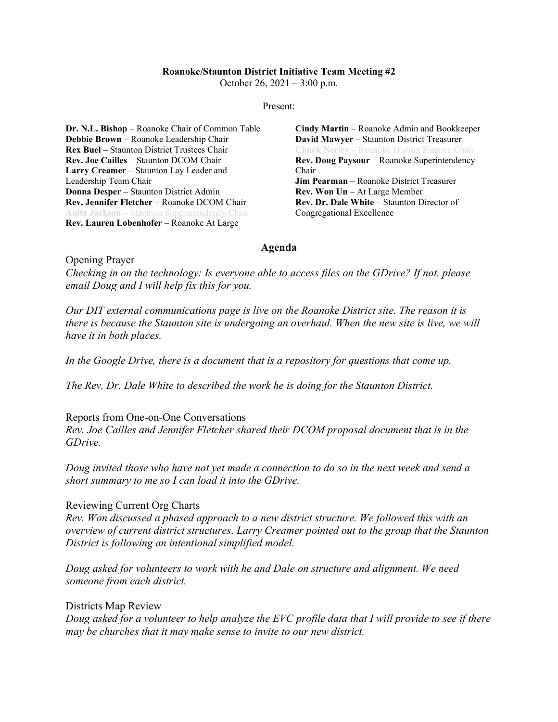### **Roanoke/Staunton District Initiative Team Meeting #2**

October 26, 2021 – 3:00 p.m.

### Present:

**Dr. N.L. Bishop** – Roanoke Chair of Common Table **Debbie Brown** – Roanoke Leadership Chair **Rex Buel** – Staunton District Trustees Chair **Rev. Joe Cailles** – Staunton DCOM Chair **Larry Creamer** – Staunton Lay Leader and Leadership Team Chair **Donna Desper** – Staunton District Admin **Rev. Jennifer Fletcher** – Roanoke DCOM Chair **Anita Jackson** – Staunton Superintendency Chair **Rev. Lauren Lobenhofer** – Roanoke At Large

**Cindy Martin** – Roanoke Admin and Bookkeeper **David Mawyer** – Staunton District Treasurer **Chuck Neeley** – Roanoke District Finance Chair **Rev. Doug Paysour** – Roanoke Superintendency Chair **Jim Pearman** – Roanoke District Treasurer **Rev. Won Un** – At Large Member **Rev. Dr. Dale White** – Staunton Director of Congregational Excellence

# **Agenda**

Opening Prayer

*Checking in on the technology: Is everyone able to access files on the GDrive? If not, please email Doug and I will help fix this for you.* 

*Our DIT external communications page is live on the Roanoke District site. The reason it is there is because the Staunton site is undergoing an overhaul. When the new site is live, we will have it in both places.*

*In the Google Drive, there is a document that is a repository for questions that come up.*

*The Rev. Dr. Dale White to described the work he is doing for the Staunton District.* 

# Reports from One-on-One Conversations

*Rev. Joe Cailles and Jennifer Fletcher shared their DCOM proposal document that is in the GDrive.* 

*Doug invited those who have not yet made a connection to do so in the next week and send a short summary to me so I can load it into the GDrive.*

# Reviewing Current Org Charts

*Rev. Won discussed a phased approach to a new district structure. We followed this with an overview of current district structures. Larry Creamer pointed out to the group that the Staunton District is following an intentional simplified model.*

*Doug asked for volunteers to work with he and Dale on structure and alignment. We need someone from each district.*

# Districts Map Review

*Doug asked for a volunteer to help analyze the EVC profile data that I will provide to see if there may be churches that it may make sense to invite to our new district.*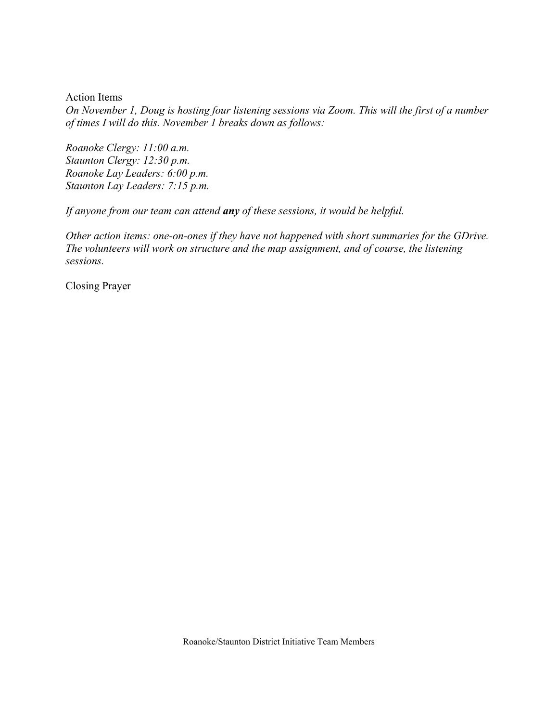Action Items

*On November 1, Doug is hosting four listening sessions via Zoom. This will the first of a number of times I will do this. November 1 breaks down as follows:*

*Roanoke Clergy: 11:00 a.m. Staunton Clergy: 12:30 p.m. Roanoke Lay Leaders: 6:00 p.m. Staunton Lay Leaders: 7:15 p.m.*

*If anyone from our team can attend any of these sessions, it would be helpful.*

*Other action items: one-on-ones if they have not happened with short summaries for the GDrive. The volunteers will work on structure and the map assignment, and of course, the listening sessions.*

Closing Prayer